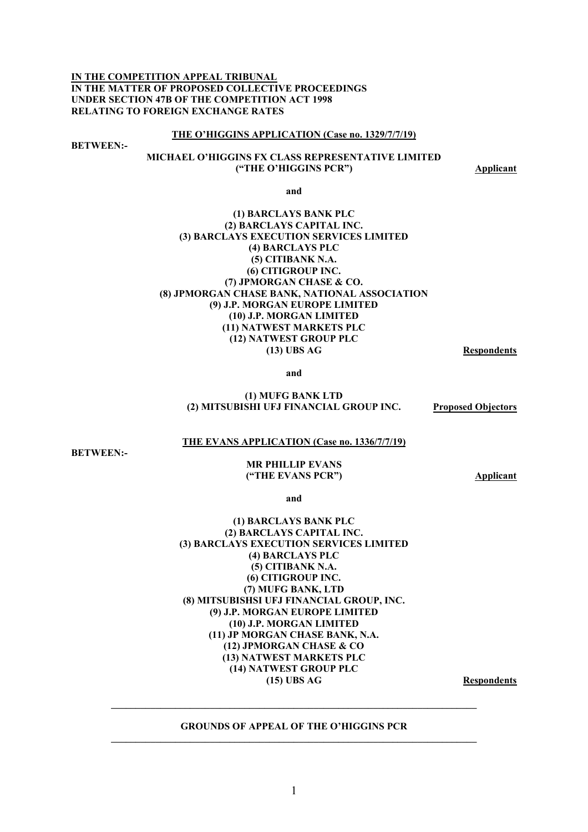**IN THE COMPETITION APPEAL TRIBUNAL IN THE MATTER OF PROPOSED COLLECTIVE PROCEEDINGS UNDER SECTION 47B OF THE COMPETITION ACT 1998 RELATING TO FOREIGN EXCHANGE RATES** 

#### **THE O'HIGGINS APPLICATION (Case no. 1329/7/7/19)**

**BETWEEN:-** 

# **MICHAEL O'HIGGINS FX CLASS REPRESENTATIVE LIMITED ("THE O'HIGGINS PCR") Applicant**

**and** 

### **(1) BARCLAYS BANK PLC (2) BARCLAYS CAPITAL INC. (3) BARCLAYS EXECUTION SERVICES LIMITED (4) BARCLAYS PLC (5) CITIBANK N.A. (6) CITIGROUP INC. (7) JPMORGAN CHASE & CO. (8) JPMORGAN CHASE BANK, NATIONAL ASSOCIATION (9) J.P. MORGAN EUROPE LIMITED (10) J.P. MORGAN LIMITED (11) NATWEST MARKETS PLC (12) NATWEST GROUP PLC (13) UBS AG Respondents**

**and** 

#### **(1) MUFG BANK LTD (2) MITSUBISHI UFJ FINANCIAL GROUP INC. Proposed Objectors**

### **THE EVANS APPLICATION (Case no. 1336/7/7/19)**

**BETWEEN:-** 

#### **MR PHILLIP EVANS ("THE EVANS PCR") Applicant**

**and** 

### **(1) BARCLAYS BANK PLC (2) BARCLAYS CAPITAL INC. (3) BARCLAYS EXECUTION SERVICES LIMITED (4) BARCLAYS PLC (5) CITIBANK N.A. (6) CITIGROUP INC. (7) MUFG BANK, LTD (8) MITSUBISHSI UFJ FINANCIAL GROUP, INC. (9) J.P. MORGAN EUROPE LIMITED (10) J.P. MORGAN LIMITED (11) JP MORGAN CHASE BANK, N.A. (12) JPMORGAN CHASE & CO (13) NATWEST MARKETS PLC (14) NATWEST GROUP PLC (15) UBS AG Respondents**

#### **GROUNDS OF APPEAL OF THE O'HIGGINS PCR \_\_\_\_\_\_\_\_\_\_\_\_\_\_\_\_\_\_\_\_\_\_\_\_\_\_\_\_\_\_\_\_\_\_\_\_\_\_\_\_\_\_\_\_\_\_\_\_\_\_\_\_\_\_\_\_\_\_\_\_\_\_\_\_\_\_\_\_\_\_\_\_\_\_**

**\_\_\_\_\_\_\_\_\_\_\_\_\_\_\_\_\_\_\_\_\_\_\_\_\_\_\_\_\_\_\_\_\_\_\_\_\_\_\_\_\_\_\_\_\_\_\_\_\_\_\_\_\_\_\_\_\_\_\_\_\_\_\_\_\_\_\_\_\_\_\_\_\_\_**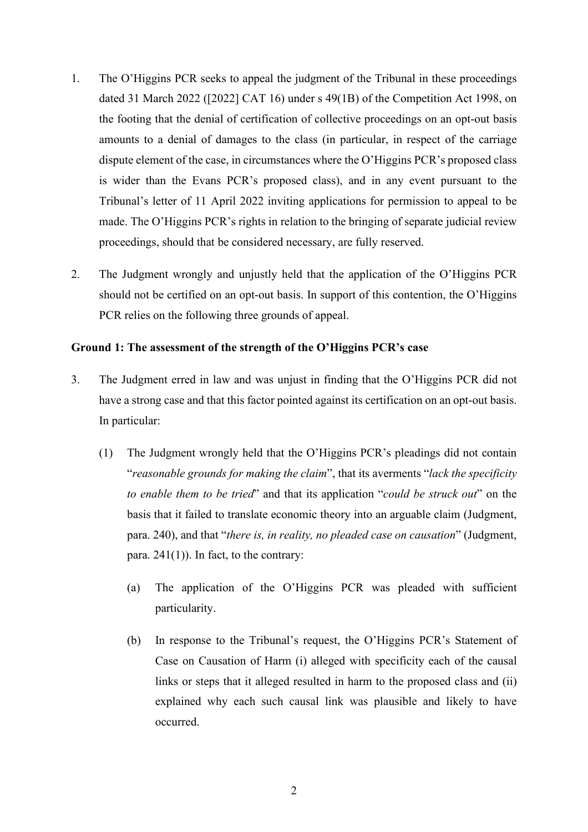- 1. The O'Higgins PCR seeks to appeal the judgment of the Tribunal in these proceedings dated 31 March 2022 ([2022] CAT 16) under s 49(1B) of the Competition Act 1998, on the footing that the denial of certification of collective proceedings on an opt-out basis amounts to a denial of damages to the class (in particular, in respect of the carriage dispute element of the case, in circumstances where the O'Higgins PCR's proposed class is wider than the Evans PCR's proposed class), and in any event pursuant to the Tribunal's letter of 11 April 2022 inviting applications for permission to appeal to be made. The O'Higgins PCR's rights in relation to the bringing of separate judicial review proceedings, should that be considered necessary, are fully reserved.
- 2. The Judgment wrongly and unjustly held that the application of the O'Higgins PCR should not be certified on an opt-out basis. In support of this contention, the O'Higgins PCR relies on the following three grounds of appeal.

# **Ground 1: The assessment of the strength of the O'Higgins PCR's case**

- 3. The Judgment erred in law and was unjust in finding that the O'Higgins PCR did not have a strong case and that this factor pointed against its certification on an opt-out basis. In particular:
	- (1) The Judgment wrongly held that the O'Higgins PCR's pleadings did not contain "*reasonable grounds for making the claim*", that its averments "*lack the specificity to enable them to be tried*" and that its application "*could be struck out*" on the basis that it failed to translate economic theory into an arguable claim (Judgment, para. 240), and that "*there is, in reality, no pleaded case on causation*" (Judgment, para.  $241(1)$ ). In fact, to the contrary:
		- (a) The application of the O'Higgins PCR was pleaded with sufficient particularity.
		- (b) In response to the Tribunal's request, the O'Higgins PCR's Statement of Case on Causation of Harm (i) alleged with specificity each of the causal links or steps that it alleged resulted in harm to the proposed class and (ii) explained why each such causal link was plausible and likely to have occurred.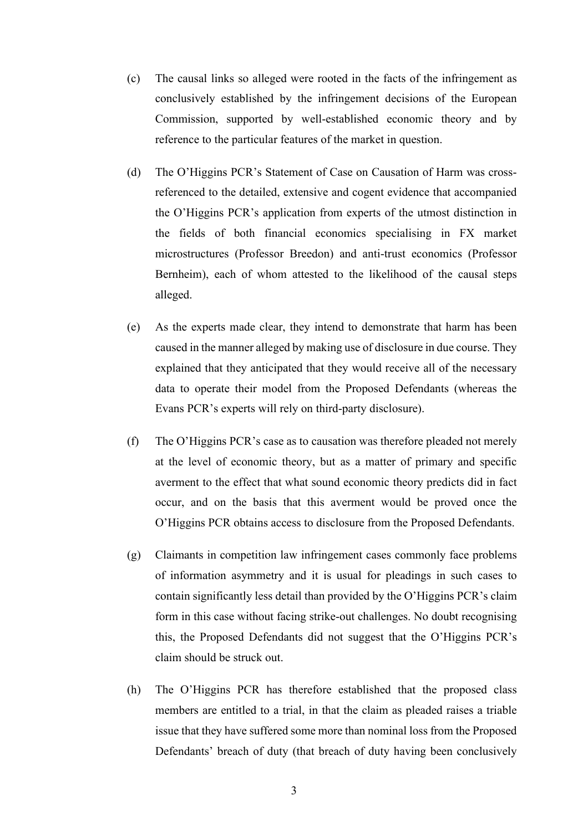- (c) The causal links so alleged were rooted in the facts of the infringement as conclusively established by the infringement decisions of the European Commission, supported by well-established economic theory and by reference to the particular features of the market in question.
- (d) The O'Higgins PCR's Statement of Case on Causation of Harm was crossreferenced to the detailed, extensive and cogent evidence that accompanied the O'Higgins PCR's application from experts of the utmost distinction in the fields of both financial economics specialising in FX market microstructures (Professor Breedon) and anti-trust economics (Professor Bernheim), each of whom attested to the likelihood of the causal steps alleged.
- (e) As the experts made clear, they intend to demonstrate that harm has been caused in the manner alleged by making use of disclosure in due course. They explained that they anticipated that they would receive all of the necessary data to operate their model from the Proposed Defendants (whereas the Evans PCR's experts will rely on third-party disclosure).
- (f) The O'Higgins PCR's case as to causation was therefore pleaded not merely at the level of economic theory, but as a matter of primary and specific averment to the effect that what sound economic theory predicts did in fact occur, and on the basis that this averment would be proved once the O'Higgins PCR obtains access to disclosure from the Proposed Defendants.
- (g) Claimants in competition law infringement cases commonly face problems of information asymmetry and it is usual for pleadings in such cases to contain significantly less detail than provided by the O'Higgins PCR's claim form in this case without facing strike-out challenges. No doubt recognising this, the Proposed Defendants did not suggest that the O'Higgins PCR's claim should be struck out.
- (h) The O'Higgins PCR has therefore established that the proposed class members are entitled to a trial, in that the claim as pleaded raises a triable issue that they have suffered some more than nominal loss from the Proposed Defendants' breach of duty (that breach of duty having been conclusively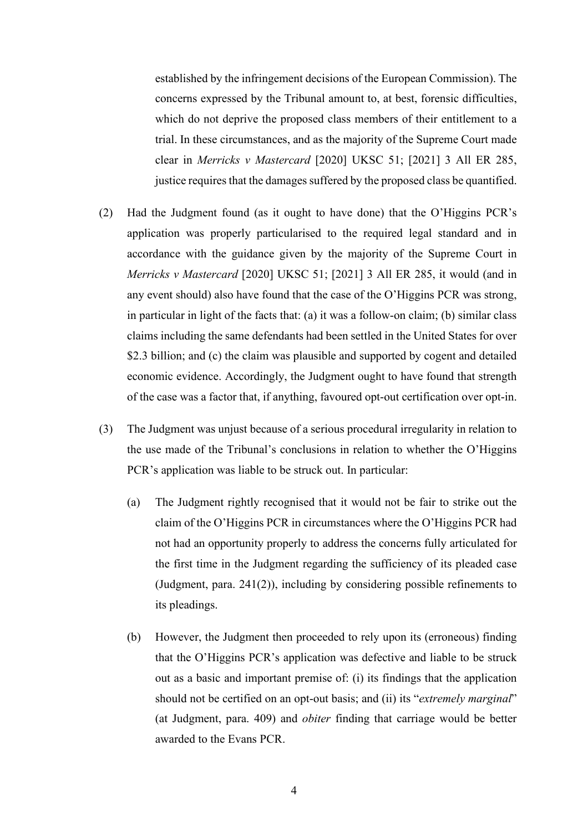established by the infringement decisions of the European Commission). The concerns expressed by the Tribunal amount to, at best, forensic difficulties, which do not deprive the proposed class members of their entitlement to a trial. In these circumstances, and as the majority of the Supreme Court made clear in *Merricks v Mastercard* [2020] UKSC 51; [2021] 3 All ER 285, justice requires that the damages suffered by the proposed class be quantified.

- (2) Had the Judgment found (as it ought to have done) that the O'Higgins PCR's application was properly particularised to the required legal standard and in accordance with the guidance given by the majority of the Supreme Court in *Merricks v Mastercard* [2020] UKSC 51; [2021] 3 All ER 285, it would (and in any event should) also have found that the case of the O'Higgins PCR was strong, in particular in light of the facts that: (a) it was a follow-on claim; (b) similar class claims including the same defendants had been settled in the United States for over \$2.3 billion; and (c) the claim was plausible and supported by cogent and detailed economic evidence. Accordingly, the Judgment ought to have found that strength of the case was a factor that, if anything, favoured opt-out certification over opt-in.
- (3) The Judgment was unjust because of a serious procedural irregularity in relation to the use made of the Tribunal's conclusions in relation to whether the O'Higgins PCR's application was liable to be struck out. In particular:
	- (a) The Judgment rightly recognised that it would not be fair to strike out the claim of the O'Higgins PCR in circumstances where the O'Higgins PCR had not had an opportunity properly to address the concerns fully articulated for the first time in the Judgment regarding the sufficiency of its pleaded case (Judgment, para. 241(2)), including by considering possible refinements to its pleadings.
	- (b) However, the Judgment then proceeded to rely upon its (erroneous) finding that the O'Higgins PCR's application was defective and liable to be struck out as a basic and important premise of: (i) its findings that the application should not be certified on an opt-out basis; and (ii) its "*extremely marginal*" (at Judgment, para. 409) and *obiter* finding that carriage would be better awarded to the Evans PCR.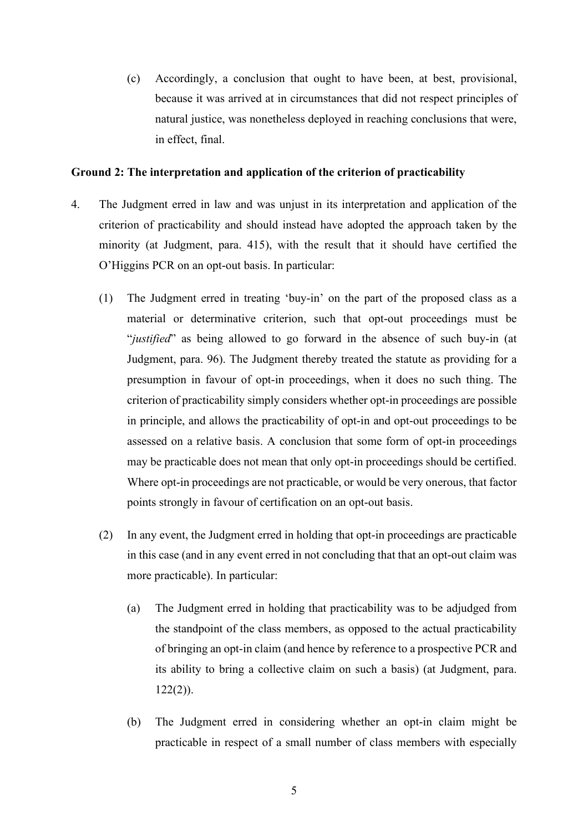(c) Accordingly, a conclusion that ought to have been, at best, provisional, because it was arrived at in circumstances that did not respect principles of natural justice, was nonetheless deployed in reaching conclusions that were, in effect, final.

# **Ground 2: The interpretation and application of the criterion of practicability**

- 4. The Judgment erred in law and was unjust in its interpretation and application of the criterion of practicability and should instead have adopted the approach taken by the minority (at Judgment, para. 415), with the result that it should have certified the O'Higgins PCR on an opt-out basis. In particular:
	- (1) The Judgment erred in treating 'buy-in' on the part of the proposed class as a material or determinative criterion, such that opt-out proceedings must be "*justified*" as being allowed to go forward in the absence of such buy-in (at Judgment, para. 96). The Judgment thereby treated the statute as providing for a presumption in favour of opt-in proceedings, when it does no such thing. The criterion of practicability simply considers whether opt-in proceedings are possible in principle, and allows the practicability of opt-in and opt-out proceedings to be assessed on a relative basis. A conclusion that some form of opt-in proceedings may be practicable does not mean that only opt-in proceedings should be certified. Where opt-in proceedings are not practicable, or would be very onerous, that factor points strongly in favour of certification on an opt-out basis.
	- (2) In any event, the Judgment erred in holding that opt-in proceedings are practicable in this case (and in any event erred in not concluding that that an opt-out claim was more practicable). In particular:
		- (a) The Judgment erred in holding that practicability was to be adjudged from the standpoint of the class members, as opposed to the actual practicability of bringing an opt-in claim (and hence by reference to a prospective PCR and its ability to bring a collective claim on such a basis) (at Judgment, para.  $122(2)$ ).
		- (b) The Judgment erred in considering whether an opt-in claim might be practicable in respect of a small number of class members with especially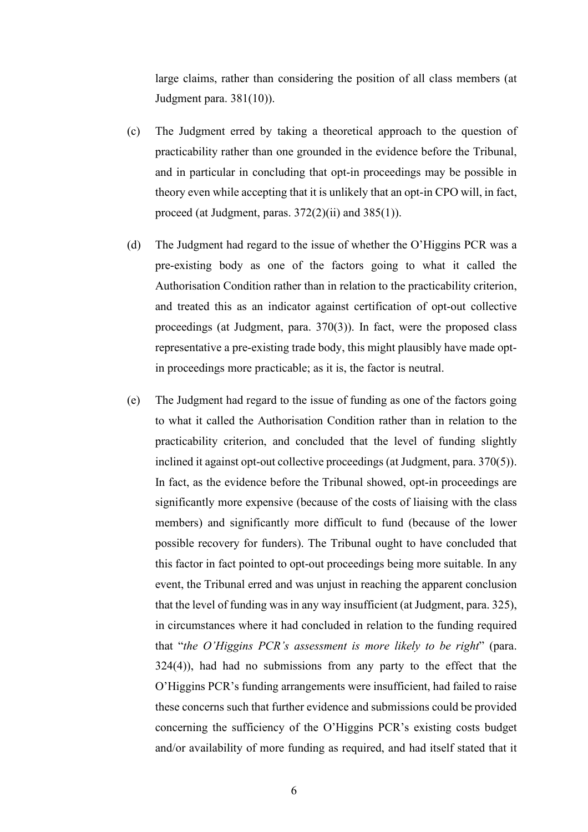large claims, rather than considering the position of all class members (at Judgment para. 381(10)).

- (c) The Judgment erred by taking a theoretical approach to the question of practicability rather than one grounded in the evidence before the Tribunal, and in particular in concluding that opt-in proceedings may be possible in theory even while accepting that it is unlikely that an opt-in CPO will, in fact, proceed (at Judgment, paras. 372(2)(ii) and 385(1)).
- (d) The Judgment had regard to the issue of whether the O'Higgins PCR was a pre-existing body as one of the factors going to what it called the Authorisation Condition rather than in relation to the practicability criterion, and treated this as an indicator against certification of opt-out collective proceedings (at Judgment, para. 370(3)). In fact, were the proposed class representative a pre-existing trade body, this might plausibly have made optin proceedings more practicable; as it is, the factor is neutral.
- (e) The Judgment had regard to the issue of funding as one of the factors going to what it called the Authorisation Condition rather than in relation to the practicability criterion, and concluded that the level of funding slightly inclined it against opt-out collective proceedings (at Judgment, para. 370(5)). In fact, as the evidence before the Tribunal showed, opt-in proceedings are significantly more expensive (because of the costs of liaising with the class members) and significantly more difficult to fund (because of the lower possible recovery for funders). The Tribunal ought to have concluded that this factor in fact pointed to opt-out proceedings being more suitable. In any event, the Tribunal erred and was unjust in reaching the apparent conclusion that the level of funding was in any way insufficient (at Judgment, para. 325), in circumstances where it had concluded in relation to the funding required that "*the O'Higgins PCR's assessment is more likely to be right*" (para. 324(4)), had had no submissions from any party to the effect that the O'Higgins PCR's funding arrangements were insufficient, had failed to raise these concerns such that further evidence and submissions could be provided concerning the sufficiency of the O'Higgins PCR's existing costs budget and/or availability of more funding as required, and had itself stated that it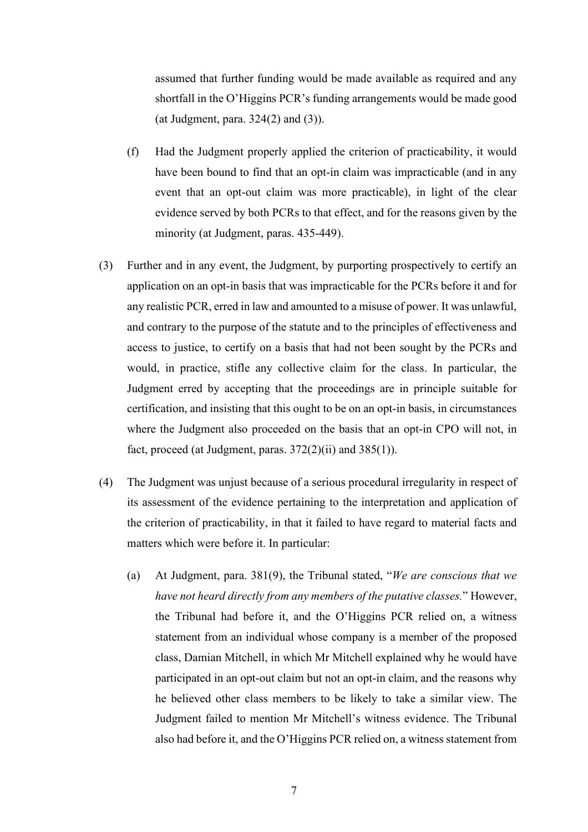assumed that further funding would be made available as required and any shortfall in the O'Higgins PCR's funding arrangements would be made good (at Judgment, para. 324(2) and (3)).

- (f) Had the Judgment properly applied the criterion of practicability, it would have been bound to find that an opt-in claim was impracticable (and in any event that an opt-out claim was more practicable), in light of the clear evidence served by both PCRs to that effect, and for the reasons given by the minority (at Judgment, paras. 435-449).
- (3) Further and in any event, the Judgment, by purporting prospectively to certify an application on an opt-in basis that was impracticable for the PCRs before it and for any realistic PCR, erred in law and amounted to a misuse of power. It was unlawful, and contrary to the purpose of the statute and to the principles of effectiveness and access to justice, to certify on a basis that had not been sought by the PCRs and would, in practice, stifle any collective claim for the class. In particular, the Judgment erred by accepting that the proceedings are in principle suitable for certification, and insisting that this ought to be on an opt-in basis, in circumstances where the Judgment also proceeded on the basis that an opt-in CPO will not, in fact, proceed (at Judgment, paras.  $372(2)(ii)$  and  $385(1)$ ).
- (4) The Judgment was unjust because of a serious procedural irregularity in respect of its assessment of the evidence pertaining to the interpretation and application of the criterion of practicability, in that it failed to have regard to material facts and matters which were before it. In particular:
	- (a) At Judgment, para. 381(9), the Tribunal stated, "*We are conscious that we have not heard directly from any members of the putative classes.*" However, the Tribunal had before it, and the O'Higgins PCR relied on, a witness statement from an individual whose company is a member of the proposed class, Damian Mitchell, in which Mr Mitchell explained why he would have participated in an opt-out claim but not an opt-in claim, and the reasons why he believed other class members to be likely to take a similar view. The Judgment failed to mention Mr Mitchell's witness evidence. The Tribunal also had before it, and the O'Higgins PCR relied on, a witness statement from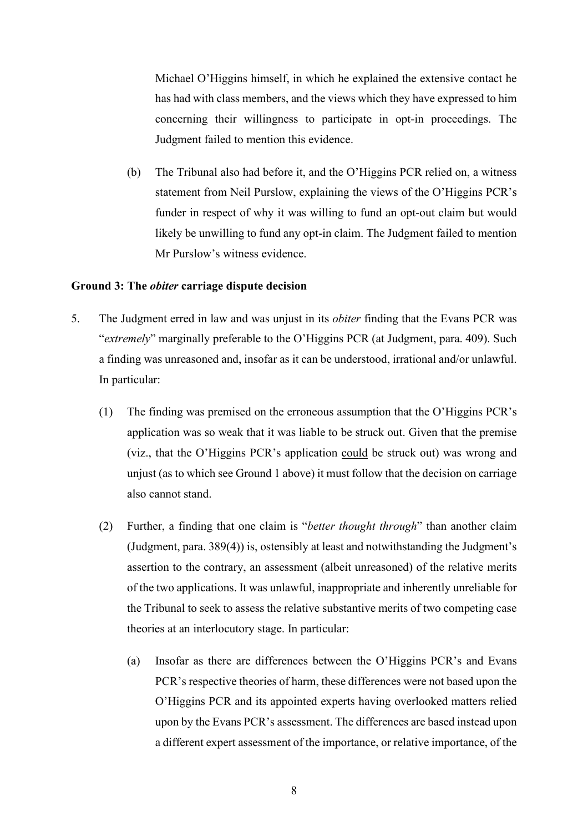Michael O'Higgins himself, in which he explained the extensive contact he has had with class members, and the views which they have expressed to him concerning their willingness to participate in opt-in proceedings. The Judgment failed to mention this evidence.

(b) The Tribunal also had before it, and the O'Higgins PCR relied on, a witness statement from Neil Purslow, explaining the views of the O'Higgins PCR's funder in respect of why it was willing to fund an opt-out claim but would likely be unwilling to fund any opt-in claim. The Judgment failed to mention Mr Purslow's witness evidence.

# **Ground 3: The** *obiter* **carriage dispute decision**

- 5. The Judgment erred in law and was unjust in its *obiter* finding that the Evans PCR was "*extremely*" marginally preferable to the O'Higgins PCR (at Judgment, para. 409). Such a finding was unreasoned and, insofar as it can be understood, irrational and/or unlawful. In particular:
	- (1) The finding was premised on the erroneous assumption that the O'Higgins PCR's application was so weak that it was liable to be struck out. Given that the premise (viz., that the O'Higgins PCR's application could be struck out) was wrong and unjust (as to which see Ground 1 above) it must follow that the decision on carriage also cannot stand.
	- (2) Further, a finding that one claim is "*better thought through*" than another claim (Judgment, para. 389(4)) is, ostensibly at least and notwithstanding the Judgment's assertion to the contrary, an assessment (albeit unreasoned) of the relative merits of the two applications. It was unlawful, inappropriate and inherently unreliable for the Tribunal to seek to assess the relative substantive merits of two competing case theories at an interlocutory stage. In particular:
		- (a) Insofar as there are differences between the O'Higgins PCR's and Evans PCR's respective theories of harm, these differences were not based upon the O'Higgins PCR and its appointed experts having overlooked matters relied upon by the Evans PCR's assessment. The differences are based instead upon a different expert assessment of the importance, or relative importance, of the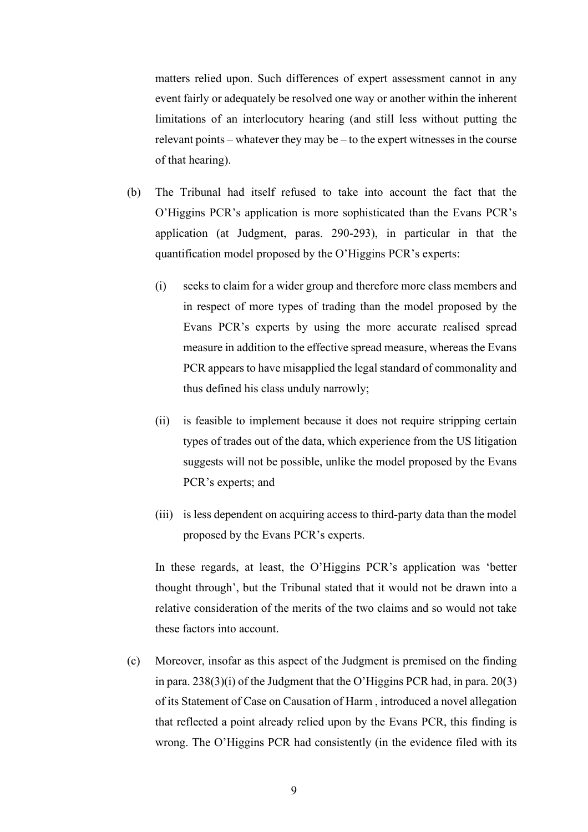matters relied upon. Such differences of expert assessment cannot in any event fairly or adequately be resolved one way or another within the inherent limitations of an interlocutory hearing (and still less without putting the relevant points – whatever they may be – to the expert witnesses in the course of that hearing).

- (b) The Tribunal had itself refused to take into account the fact that the O'Higgins PCR's application is more sophisticated than the Evans PCR's application (at Judgment, paras. 290-293), in particular in that the quantification model proposed by the O'Higgins PCR's experts:
	- (i) seeks to claim for a wider group and therefore more class members and in respect of more types of trading than the model proposed by the Evans PCR's experts by using the more accurate realised spread measure in addition to the effective spread measure, whereas the Evans PCR appears to have misapplied the legal standard of commonality and thus defined his class unduly narrowly;
	- (ii) is feasible to implement because it does not require stripping certain types of trades out of the data, which experience from the US litigation suggests will not be possible, unlike the model proposed by the Evans PCR's experts; and
	- (iii) is less dependent on acquiring access to third-party data than the model proposed by the Evans PCR's experts.

In these regards, at least, the O'Higgins PCR's application was 'better thought through', but the Tribunal stated that it would not be drawn into a relative consideration of the merits of the two claims and so would not take these factors into account.

(c) Moreover, insofar as this aspect of the Judgment is premised on the finding in para. 238(3)(i) of the Judgment that the O'Higgins PCR had, in para. 20(3) of its Statement of Case on Causation of Harm , introduced a novel allegation that reflected a point already relied upon by the Evans PCR, this finding is wrong. The O'Higgins PCR had consistently (in the evidence filed with its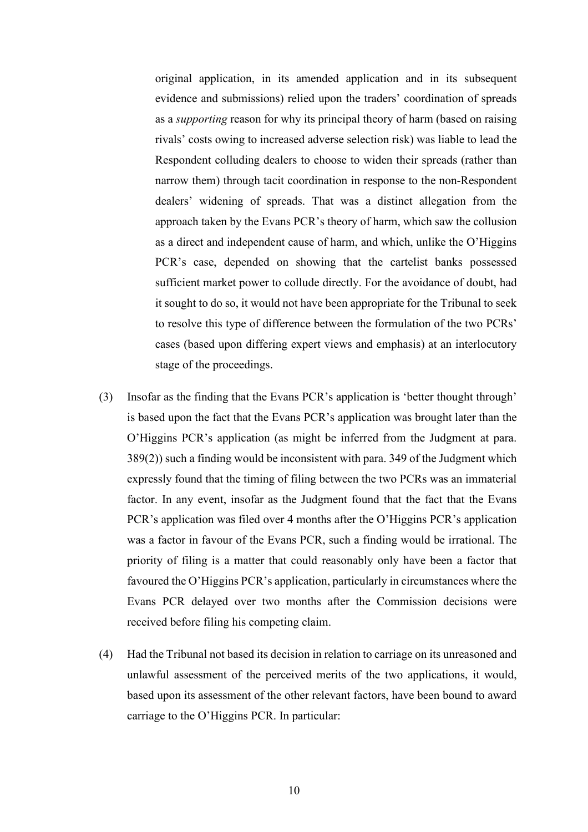original application, in its amended application and in its subsequent evidence and submissions) relied upon the traders' coordination of spreads as a *supporting* reason for why its principal theory of harm (based on raising rivals' costs owing to increased adverse selection risk) was liable to lead the Respondent colluding dealers to choose to widen their spreads (rather than narrow them) through tacit coordination in response to the non-Respondent dealers' widening of spreads. That was a distinct allegation from the approach taken by the Evans PCR's theory of harm, which saw the collusion as a direct and independent cause of harm, and which, unlike the O'Higgins PCR's case, depended on showing that the cartelist banks possessed sufficient market power to collude directly. For the avoidance of doubt, had it sought to do so, it would not have been appropriate for the Tribunal to seek to resolve this type of difference between the formulation of the two PCRs' cases (based upon differing expert views and emphasis) at an interlocutory stage of the proceedings.

- (3) Insofar as the finding that the Evans PCR's application is 'better thought through' is based upon the fact that the Evans PCR's application was brought later than the O'Higgins PCR's application (as might be inferred from the Judgment at para. 389(2)) such a finding would be inconsistent with para. 349 of the Judgment which expressly found that the timing of filing between the two PCRs was an immaterial factor. In any event, insofar as the Judgment found that the fact that the Evans PCR's application was filed over 4 months after the O'Higgins PCR's application was a factor in favour of the Evans PCR, such a finding would be irrational. The priority of filing is a matter that could reasonably only have been a factor that favoured the O'Higgins PCR's application, particularly in circumstances where the Evans PCR delayed over two months after the Commission decisions were received before filing his competing claim.
- (4) Had the Tribunal not based its decision in relation to carriage on its unreasoned and unlawful assessment of the perceived merits of the two applications, it would, based upon its assessment of the other relevant factors, have been bound to award carriage to the O'Higgins PCR. In particular: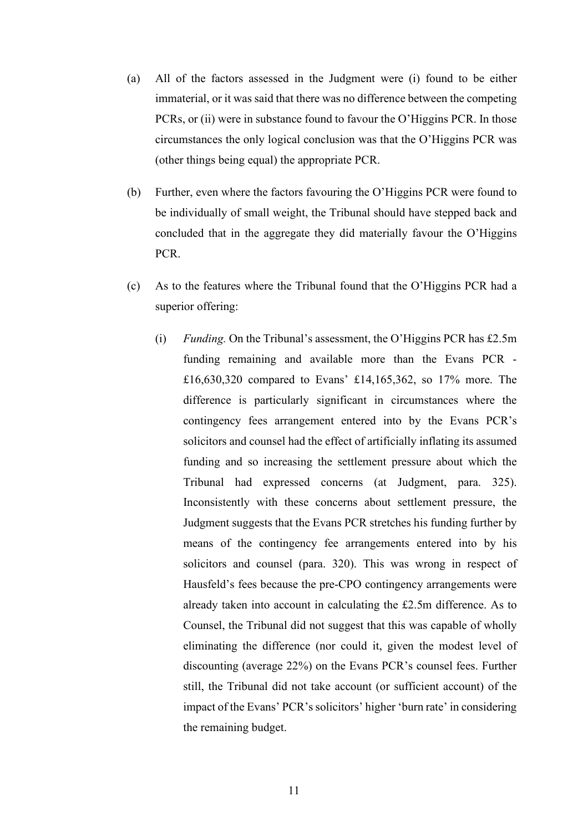- (a) All of the factors assessed in the Judgment were (i) found to be either immaterial, or it was said that there was no difference between the competing PCRs, or (ii) were in substance found to favour the O'Higgins PCR. In those circumstances the only logical conclusion was that the O'Higgins PCR was (other things being equal) the appropriate PCR.
- (b) Further, even where the factors favouring the O'Higgins PCR were found to be individually of small weight, the Tribunal should have stepped back and concluded that in the aggregate they did materially favour the O'Higgins PCR.
- (c) As to the features where the Tribunal found that the O'Higgins PCR had a superior offering:
	- (i) *Funding.* On the Tribunal's assessment, the O'Higgins PCR has £2.5m funding remaining and available more than the Evans PCR - £16,630,320 compared to Evans' £14,165,362, so 17% more. The difference is particularly significant in circumstances where the contingency fees arrangement entered into by the Evans PCR's solicitors and counsel had the effect of artificially inflating its assumed funding and so increasing the settlement pressure about which the Tribunal had expressed concerns (at Judgment, para. 325). Inconsistently with these concerns about settlement pressure, the Judgment suggests that the Evans PCR stretches his funding further by means of the contingency fee arrangements entered into by his solicitors and counsel (para. 320). This was wrong in respect of Hausfeld's fees because the pre-CPO contingency arrangements were already taken into account in calculating the £2.5m difference. As to Counsel, the Tribunal did not suggest that this was capable of wholly eliminating the difference (nor could it, given the modest level of discounting (average 22%) on the Evans PCR's counsel fees. Further still, the Tribunal did not take account (or sufficient account) of the impact of the Evans' PCR's solicitors' higher 'burn rate' in considering the remaining budget.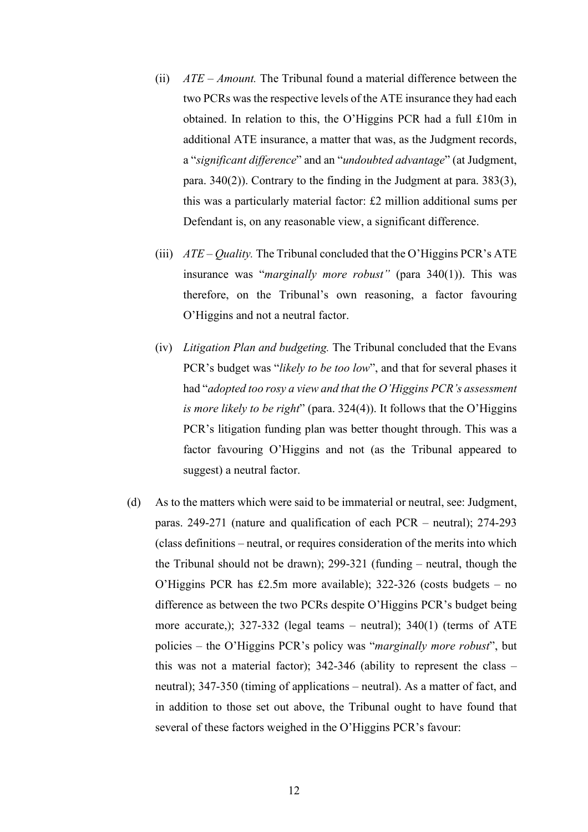- (ii) *ATE Amount.* The Tribunal found a material difference between the two PCRs was the respective levels of the ATE insurance they had each obtained. In relation to this, the O'Higgins PCR had a full £10m in additional ATE insurance, a matter that was, as the Judgment records, a "*significant difference*" and an "*undoubted advantage*" (at Judgment, para. 340(2)). Contrary to the finding in the Judgment at para. 383(3), this was a particularly material factor: £2 million additional sums per Defendant is, on any reasonable view, a significant difference.
- (iii) *ATE Quality.* The Tribunal concluded that the O'Higgins PCR's ATE insurance was "*marginally more robust"* (para 340(1)). This was therefore, on the Tribunal's own reasoning, a factor favouring O'Higgins and not a neutral factor.
- (iv) *Litigation Plan and budgeting.* The Tribunal concluded that the Evans PCR's budget was "*likely to be too low*", and that for several phases it had "*adopted too rosy a view and that the O'Higgins PCR's assessment is more likely to be right*" (para. 324(4)). It follows that the O'Higgins PCR's litigation funding plan was better thought through. This was a factor favouring O'Higgins and not (as the Tribunal appeared to suggest) a neutral factor.
- (d) As to the matters which were said to be immaterial or neutral, see: Judgment, paras. 249-271 (nature and qualification of each PCR – neutral); 274-293 (class definitions – neutral, or requires consideration of the merits into which the Tribunal should not be drawn); 299-321 (funding – neutral, though the O'Higgins PCR has £2.5m more available); 322-326 (costs budgets – no difference as between the two PCRs despite O'Higgins PCR's budget being more accurate,); 327-332 (legal teams – neutral); 340(1) (terms of ATE policies – the O'Higgins PCR's policy was "*marginally more robust*", but this was not a material factor); 342-346 (ability to represent the class – neutral); 347-350 (timing of applications – neutral). As a matter of fact, and in addition to those set out above, the Tribunal ought to have found that several of these factors weighed in the O'Higgins PCR's favour: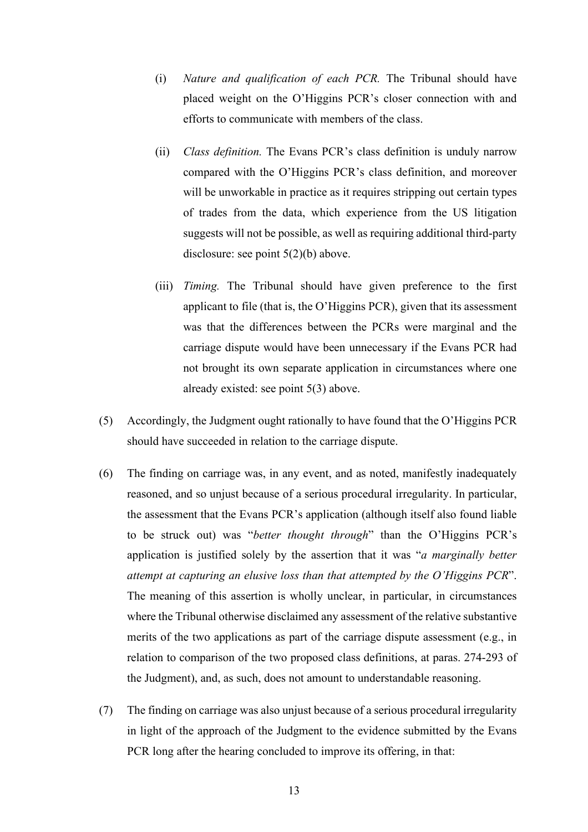- (i) *Nature and qualification of each PCR.* The Tribunal should have placed weight on the O'Higgins PCR's closer connection with and efforts to communicate with members of the class.
- (ii) *Class definition.* The Evans PCR's class definition is unduly narrow compared with the O'Higgins PCR's class definition, and moreover will be unworkable in practice as it requires stripping out certain types of trades from the data, which experience from the US litigation suggests will not be possible, as well as requiring additional third-party disclosure: see point 5(2)(b) above.
- (iii) *Timing.* The Tribunal should have given preference to the first applicant to file (that is, the O'Higgins PCR), given that its assessment was that the differences between the PCRs were marginal and the carriage dispute would have been unnecessary if the Evans PCR had not brought its own separate application in circumstances where one already existed: see point 5(3) above.
- (5) Accordingly, the Judgment ought rationally to have found that the O'Higgins PCR should have succeeded in relation to the carriage dispute.
- (6) The finding on carriage was, in any event, and as noted, manifestly inadequately reasoned, and so unjust because of a serious procedural irregularity. In particular, the assessment that the Evans PCR's application (although itself also found liable to be struck out) was "*better thought through*" than the O'Higgins PCR's application is justified solely by the assertion that it was "*a marginally better attempt at capturing an elusive loss than that attempted by the O'Higgins PCR*". The meaning of this assertion is wholly unclear, in particular, in circumstances where the Tribunal otherwise disclaimed any assessment of the relative substantive merits of the two applications as part of the carriage dispute assessment (e.g., in relation to comparison of the two proposed class definitions, at paras. 274-293 of the Judgment), and, as such, does not amount to understandable reasoning.
- (7) The finding on carriage was also unjust because of a serious procedural irregularity in light of the approach of the Judgment to the evidence submitted by the Evans PCR long after the hearing concluded to improve its offering, in that: